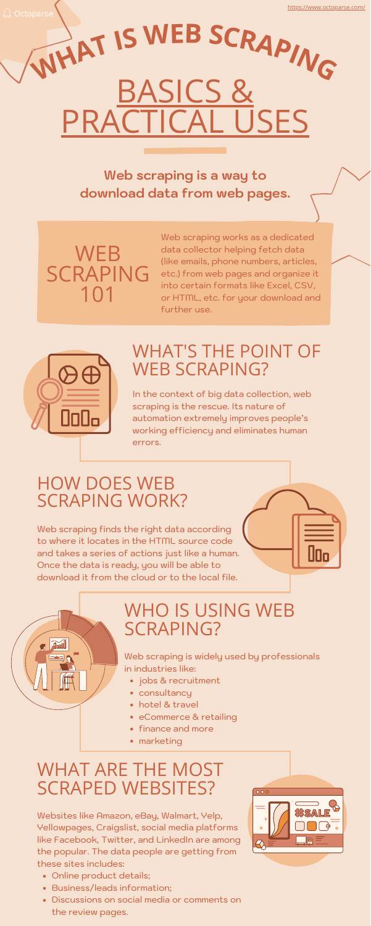# WHO IS USING WEB SCRAPING?

- Online product details;
- Business/leads information;
- Discussions on social media or comments on the review pages.



Web scraping is widely used by professionals in industries like:

- jobs & recruitment
- consultancy
- hotel & travel
- eCommerce & retailing
- finance and more
- marketing

Websites like Amazon, eBay, Walmart, Yelp, Yellowpages, Craigslist, social media platforms like Facebook, Twitter, and LinkedIn are among the popular. The data people are getting from these sites includes:

# SICS & **JSES <sup>W</sup>HA<sup>T</sup> <sup>I</sup><sup>S</sup> <sup>W</sup>E<sup>B</sup> <sup>S</sup>CRAPIN<sup>G</sup>**

### WHAT ARE THE MOST SCRAPED WEBSITES?

## WHAT'S THE POINT OF WEB SCRAPING?

**WEB** SCRAPING 101

> In the context of big data collection, web scraping is the rescue. Its nature of automation extremely improves people's working efficiency and eliminates human errors.

# HOW DOES WEB SCRAPING WORK?

Web scraping finds the right data according to where it locates in the HTML source code and takes a series of actions just like a human. Once the data is ready, you will be able to download it from the cloud or to the local file.





**Web scraping is a way to download data from web pages.**

> Web scraping works as a dedicated data collector helping fetch data (like emails, phone numbers, articles, etc.) from web pages and organize it into certain formats like Excel, CSV, or HTML, etc. for your download and further use.